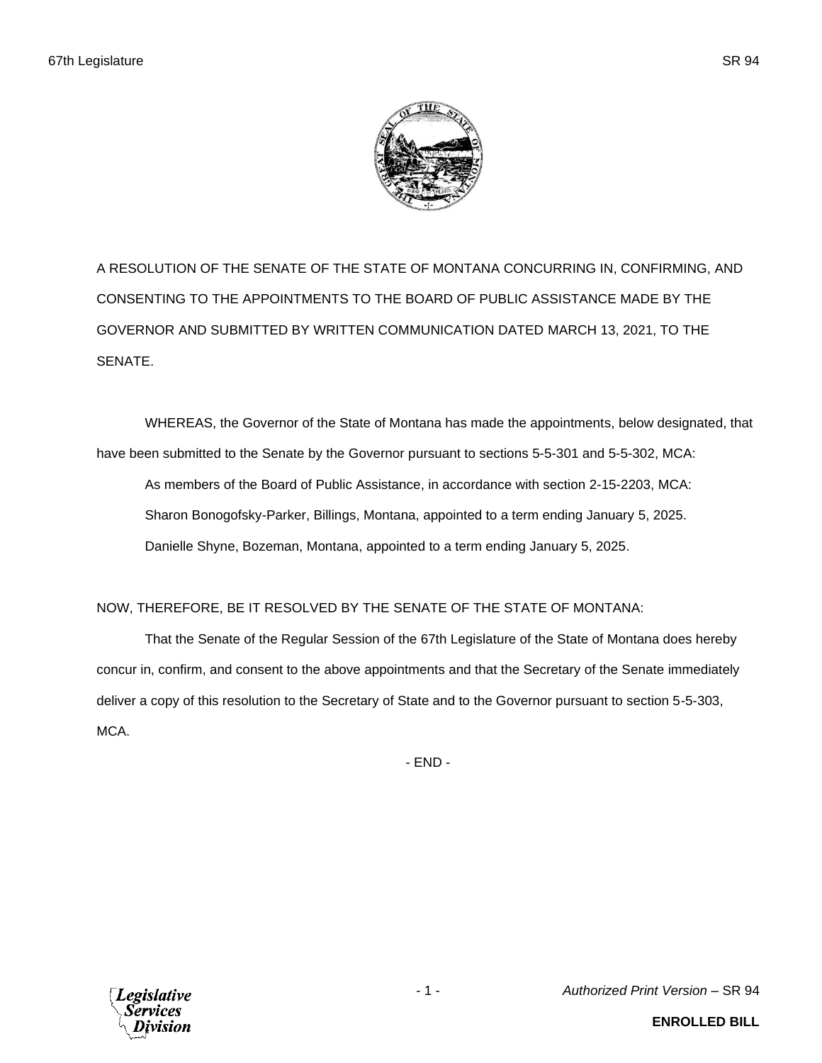A RESOLUTION OF THE SENATE OF THE STATE OF MONTANA CONCURRING IN, CONFIRMING, AND CONSENTING TO THE APPOINTMENTS TO THE BOARD OF PUBLIC ASSISTANCE MADE BY THE GOVERNOR AND SUBMITTED BY WRITTEN COMMUNICATION DATED MARCH 13, 2021, TO THE SENATE.

WHEREAS, the Governor of the State of Montana has made the appointments, below designated, that have been submitted to the Senate by the Governor pursuant to sections 5-5-301 and 5-5-302, MCA: As members of the Board of Public Assistance, in accordance with section 2-15-2203, MCA: Sharon Bonogofsky-Parker, Billings, Montana, appointed to a term ending January 5, 2025. Danielle Shyne, Bozeman, Montana, appointed to a term ending January 5, 2025.

## NOW, THEREFORE, BE IT RESOLVED BY THE SENATE OF THE STATE OF MONTANA:

That the Senate of the Regular Session of the 67th Legislature of the State of Montana does hereby concur in, confirm, and consent to the above appointments and that the Secretary of the Senate immediately deliver a copy of this resolution to the Secretary of State and to the Governor pursuant to section 5-5-303, MCA.

- END -



**ENROLLED BILL**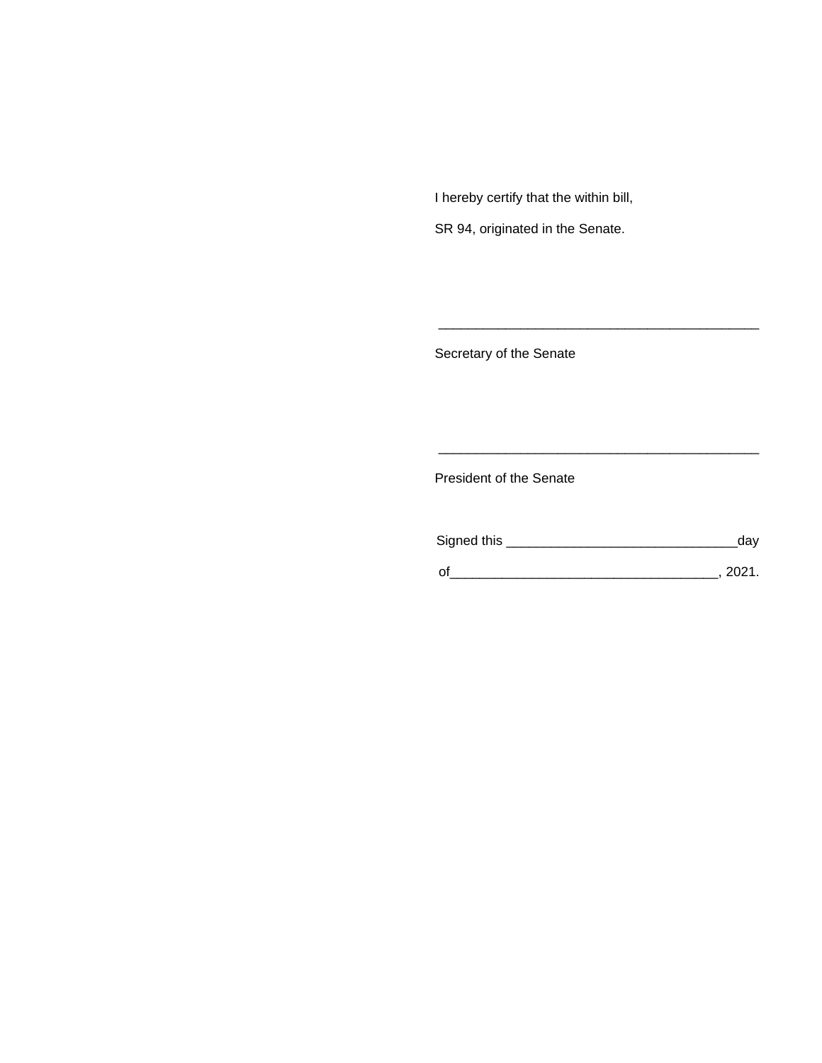I hereby certify that the within bill,

SR 94, originated in the Senate.

Secretary of the Senate

President of the Senate

| Signed this | dav  |
|-------------|------|
|             | 2021 |

\_\_\_\_\_\_\_\_\_\_\_\_\_\_\_\_\_\_\_\_\_\_\_\_\_\_\_\_\_\_\_\_\_\_\_\_\_\_\_\_\_\_\_

\_\_\_\_\_\_\_\_\_\_\_\_\_\_\_\_\_\_\_\_\_\_\_\_\_\_\_\_\_\_\_\_\_\_\_\_\_\_\_\_\_\_\_